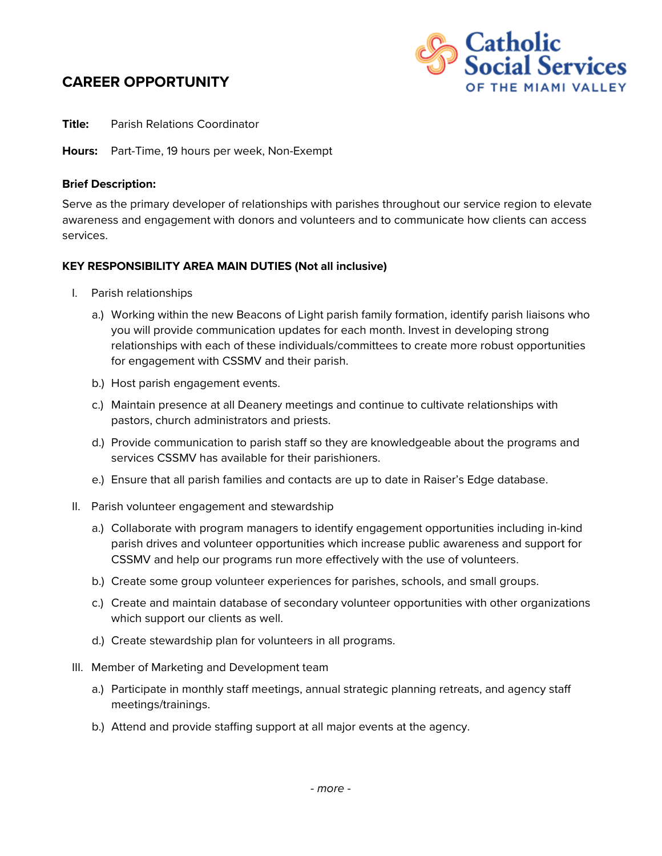## **CAREER OPPORTUNITY**



**Title:** Parish Relations Coordinator

**Hours:** Part-Time, 19 hours per week, Non-Exempt

## **Brief Description:**

Serve as the primary developer of relationships with parishes throughout our service region to elevate awareness and engagement with donors and volunteers and to communicate how clients can access services.

## **KEY RESPONSIBILITY AREA MAIN DUTIES (Not all inclusive)**

- I. Parish relationships
	- a.) Working within the new Beacons of Light parish family formation, identify parish liaisons who you will provide communication updates for each month. Invest in developing strong relationships with each of these individuals/committees to create more robust opportunities for engagement with CSSMV and their parish.
	- b.) Host parish engagement events.
	- c.) Maintain presence at all Deanery meetings and continue to cultivate relationships with pastors, church administrators and priests.
	- d.) Provide communication to parish staff so they are knowledgeable about the programs and services CSSMV has available for their parishioners.
	- e.) Ensure that all parish families and contacts are up to date in Raiser's Edge database.
- II. Parish volunteer engagement and stewardship
	- a.) Collaborate with program managers to identify engagement opportunities including in-kind parish drives and volunteer opportunities which increase public awareness and support for CSSMV and help our programs run more effectively with the use of volunteers.
	- b.) Create some group volunteer experiences for parishes, schools, and small groups.
	- c.) Create and maintain database of secondary volunteer opportunities with other organizations which support our clients as well.
	- d.) Create stewardship plan for volunteers in all programs.
- III. Member of Marketing and Development team
	- a.) Participate in monthly staff meetings, annual strategic planning retreats, and agency staff meetings/trainings.
	- b.) Attend and provide staffing support at all major events at the agency.